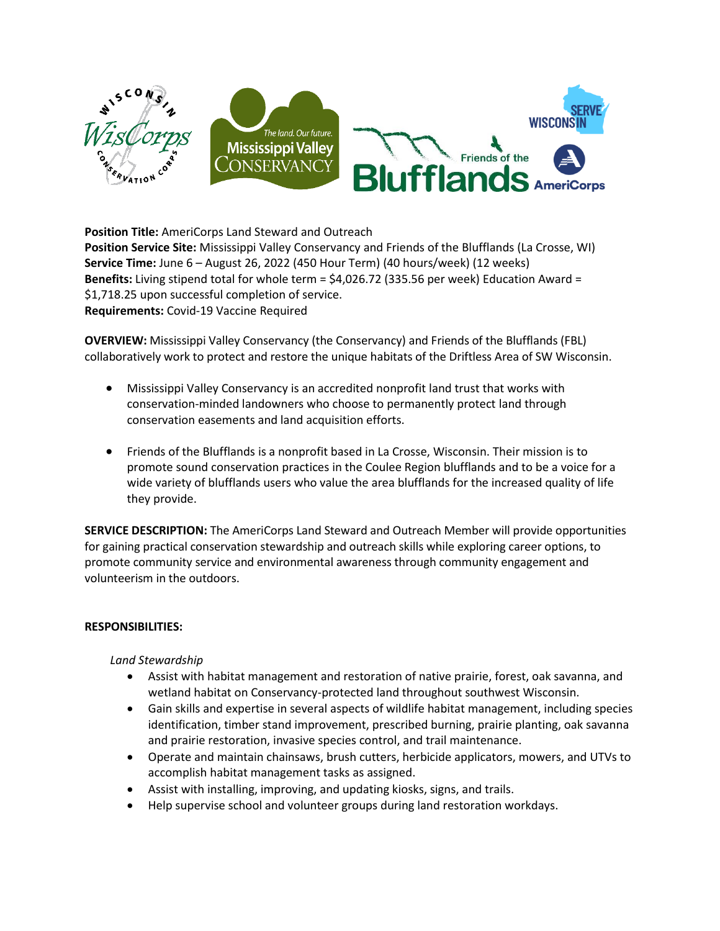

**Position Title:** AmeriCorps Land Steward and Outreach **Position Service Site:** Mississippi Valley Conservancy and Friends of the Blufflands (La Crosse, WI) **Service Time:** June 6 – August 26, 2022 (450 Hour Term) (40 hours/week) (12 weeks) **Benefits:** Living stipend total for whole term = \$4,026.72 (335.56 per week) Education Award = \$1,718.25 upon successful completion of service. **Requirements:** Covid-19 Vaccine Required

**OVERVIEW:** Mississippi Valley Conservancy (the Conservancy) and Friends of the Blufflands (FBL) collaboratively work to protect and restore the unique habitats of the Driftless Area of SW Wisconsin.

- Mississippi Valley Conservancy is an accredited nonprofit land trust that works with conservation-minded landowners who choose to permanently protect land through conservation easements and land acquisition efforts.
- Friends of the Blufflands is a nonprofit based in La Crosse, Wisconsin. Their mission is to promote sound conservation practices in the Coulee Region blufflands and to be a voice for a wide variety of blufflands users who value the area blufflands for the increased quality of life they provide.

**SERVICE DESCRIPTION:** The AmeriCorps Land Steward and Outreach Member will provide opportunities for gaining practical conservation stewardship and outreach skills while exploring career options, to promote community service and environmental awareness through community engagement and volunteerism in the outdoors.

## **RESPONSIBILITIES:**

*Land Stewardship* 

- Assist with habitat management and restoration of native prairie, forest, oak savanna, and wetland habitat on Conservancy-protected land throughout southwest Wisconsin.
- Gain skills and expertise in several aspects of wildlife habitat management, including species identification, timber stand improvement, prescribed burning, prairie planting, oak savanna and prairie restoration, invasive species control, and trail maintenance.
- Operate and maintain chainsaws, brush cutters, herbicide applicators, mowers, and UTVs to accomplish habitat management tasks as assigned.
- Assist with installing, improving, and updating kiosks, signs, and trails.
- Help supervise school and volunteer groups during land restoration workdays.